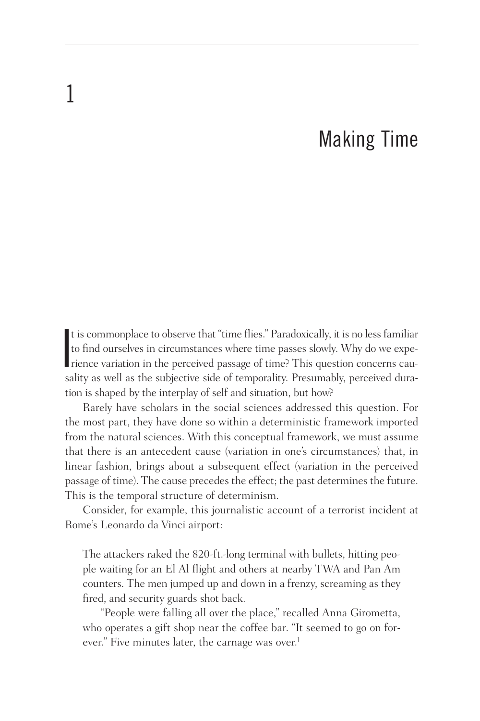## Making Time

t is commonplace to observe that "time flies." Paradoxically, it is no less familiar<br>to find ourselves in circumstances where time passes slowly. Why do we experience<br>variation in the perceived passage of time? This questi It is commonplace to observe that "time flies." Paradoxically, it is no less familiar to find ourselves in circumstances where time passes slowly. Why do we expesality as well as the subjective side of temporality. Presumably, perceived duration is shaped by the interplay of self and situation, but how?

Rarely have scholars in the social sciences addressed this question. For the most part, they have done so within a deterministic framework imported from the natural sciences. With this conceptual framework, we must assume that there is an antecedent cause (variation in one's circumstances) that, in linear fashion, brings about a subsequent effect (variation in the perceived passage of time). The cause precedes the effect; the past determines the future. This is the temporal structure of determinism.

Consider, for example, this journalistic account of a terrorist incident at Rome's Leonardo da Vinci airport:

The attackers raked the 820-ft.-long terminal with bullets, hitting people waiting for an El Al flight and others at nearby TWA and Pan Am counters. The men jumped up and down in a frenzy, screaming as they fired, and security guards shot back.

"People were falling all over the place," recalled Anna Girometta, who operates a gift shop near the coffee bar. "It seemed to go on forever." Five minutes later, the carnage was over.<sup>1</sup>

1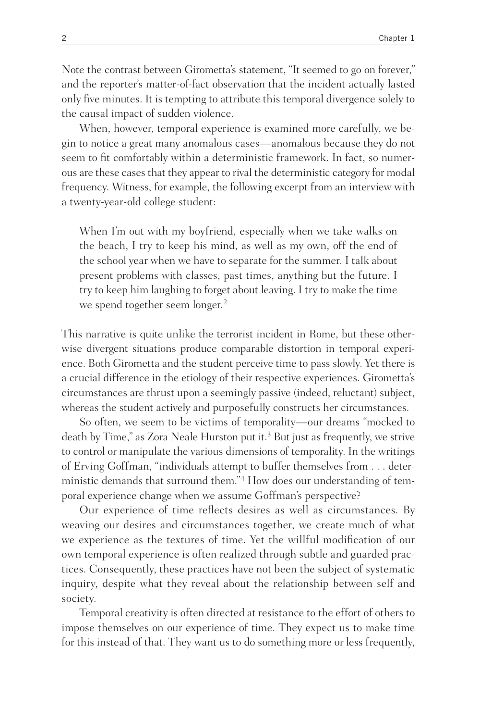Note the contrast between Girometta's statement, "It seemed to go on forever," and the reporter's matter-of-fact observation that the incident actually lasted only five minutes. It is tempting to attribute this temporal divergence solely to the causal impact of sudden violence.

When, however, temporal experience is examined more carefully, we begin to notice a great many anomalous cases— anomalous because they do not seem to fit comfortably within a deterministic framework. In fact, so numerous are these cases that they appear to rival the deterministic category for modal frequency. Witness, for example, the following excerpt from an interview with a twenty-year-old college student:

When I'm out with my boyfriend, especially when we take walks on the beach, I try to keep his mind, as well as my own, off the end of the school year when we have to separate for the summer. I talk about present problems with classes, past times, anything but the future. I try to keep him laughing to forget about leaving. I try to make the time we spend together seem longer.<sup>2</sup>

This narrative is quite unlike the terrorist incident in Rome, but these otherwise divergent situations produce comparable distortion in temporal experience. Both Girometta and the student perceive time to pass slowly. Yet there is a crucial difference in the etiology of their respective experiences. Girometta's circumstances are thrust upon a seemingly passive (indeed, reluctant) subject, whereas the student actively and purposefully constructs her circumstances.

So often, we seem to be victims of temporality— our dreams "mocked to death by Time," as Zora Neale Hurston put it.<sup>3</sup> But just as frequently, we strive to control or manipulate the various dimensions of temporality. In the writings of Erving Goffman, "individuals attempt to buffer themselves from . . . deterministic demands that surround them."<sup>4</sup> How does our understanding of temporal experience change when we assume Goffman's perspective?

Our experience of time reflects desires as well as circumstances. By weaving our desires and circumstances together, we create much of what we experience as the textures of time. Yet the willful modification of our own temporal experience is often realized through subtle and guarded practices. Consequently, these practices have not been the subject of systematic inquiry, despite what they reveal about the relationship between self and society.

Temporal creativity is often directed at resistance to the effort of others to impose themselves on our experience of time. They expect us to make time for this instead of that. They want us to do something more or less frequently,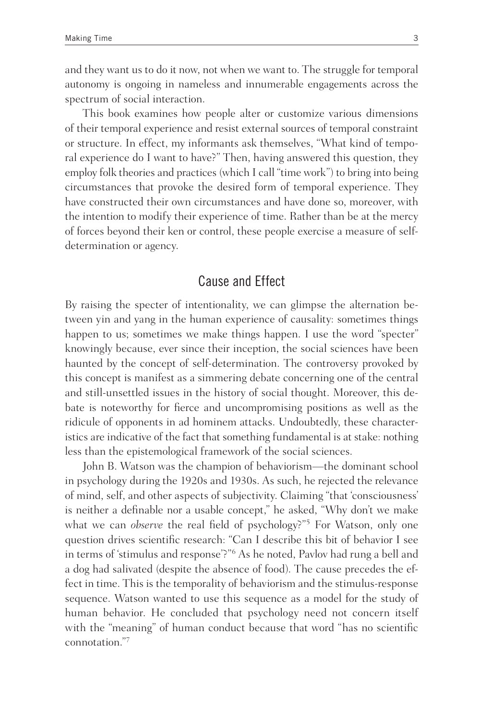and they want us to do it now, not when we want to. The struggle for temporal autonomy is ongoing in nameless and innumerable engagements across the spectrum of social interaction.

This book examines how people alter or customize various dimensions of their temporal experience and resist external sources of temporal constraint or structure. In effect, my informants ask themselves, "What kind of temporal experience do I want to have?" Then, having answered this question, they employ folk theories and practices (which I call "time work") to bring into being circumstances that provoke the desired form of temporal experience. They have constructed their own circumstances and have done so, moreover, with the intention to modify their experience of time. Rather than be at the mercy of forces beyond their ken or control, these people exercise a mea sure of selfdetermination or agency.

## Cause and Effect

By raising the specter of intentionality, we can glimpse the alternation between yin and yang in the human experience of causality: sometimes things happen to us; sometimes we make things happen. I use the word "specter" knowingly because, ever since their inception, the social sciences have been haunted by the concept of self-determination. The controversy provoked by this concept is manifest as a simmering debate concerning one of the central and still-unsettled issues in the history of social thought. Moreover, this debate is noteworthy for fierce and uncompromising positions as well as the ridicule of opponents in ad hominem attacks. Undoubtedly, these characteristics are indicative of the fact that something fundamental is at stake: nothing less than the epistemological framework of the social sciences.

John B. Watson was the champion of behaviorism— the dominant school in psychology during the 1920s and 1930s. As such, he rejected the relevance of mind, self, and other aspects of subjectivity. Claiming "that 'consciousness' is neither a definable nor a usable concept," he asked, "Why don't we make what we can *observe* the real field of psychology?"<sup>5</sup> For Watson, only one question drives scientific research: "Can I describe this bit of behavior I see in terms of 'stimulus and response'?"<sup>6</sup> As he noted, Pavlov had rung a bell and a dog had salivated (despite the absence of food). The cause precedes the effect in time. This is the temporality of behaviorism and the stimulus-response sequence. Watson wanted to use this sequence as a model for the study of human behavior. He concluded that psychology need not concern itself with the "meaning" of human conduct because that word "has no scientific connotation."7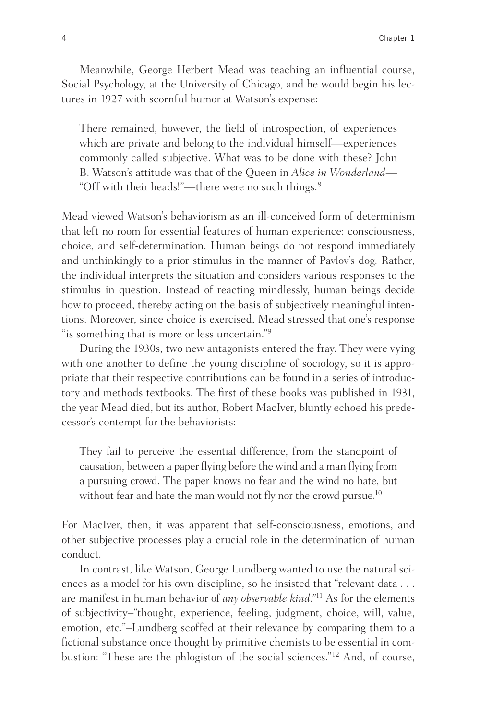Meanwhile, George Herbert Mead was teaching an influential course, Social Psychology, at the University of Chicago, and he would begin his lectures in 1927 with scornful humor at Watson's expense:

There remained, however, the field of introspection, of experiences which are private and belong to the individual himself— experiences commonly called subjective. What was to be done with these? John B. Watson's attitude was that of the Queen in *Alice in Wonderland*— "Off with their heads!"— there were no such things.8

Mead viewed Watson's behaviorism as an ill- conceived form of determinism that left no room for essential features of human experience: consciousness, choice, and self- determination. Human beings do not respond immediately and unthinkingly to a prior stimulus in the manner of Pavlov's dog. Rather, the individual interprets the situation and considers various responses to the stimulus in question. Instead of reacting mindlessly, human beings decide how to proceed, thereby acting on the basis of subjectively meaningful intentions. Moreover, since choice is exercised, Mead stressed that one's response "is something that is more or less uncertain."9

During the 1930s, two new antagonists entered the fray. They were vying with one another to define the young discipline of sociology, so it is appropriate that their respective contributions can be found in a series of introductory and methods textbooks. The first of these books was published in 1931, the year Mead died, but its author, Robert MacIver, bluntly echoed his predeces sor's contempt for the behaviorists:

They fail to perceive the essential difference, from the standpoint of causation, between a paper flying before the wind and a man flying from a pursuing crowd. The paper knows no fear and the wind no hate, but without fear and hate the man would not fly nor the crowd pursue.<sup>10</sup>

For MacIver, then, it was apparent that self-consciousness, emotions, and other subjective processes play a crucial role in the determination of human conduct.

In contrast, like Watson, George Lundberg wanted to use the natural sciences as a model for his own discipline, so he insisted that "relevant data . . . are manifest in human behavior of *any observable kind*."11 As for the elements of subjectivity–"thought, experience, feeling, judgment, choice, will, value, emotion, etc."-Lundberg scoffed at their relevance by comparing them to a fictional substance once thought by primitive chemists to be essential in combustion: "These are the phlogiston of the social sciences." 12 And, of course,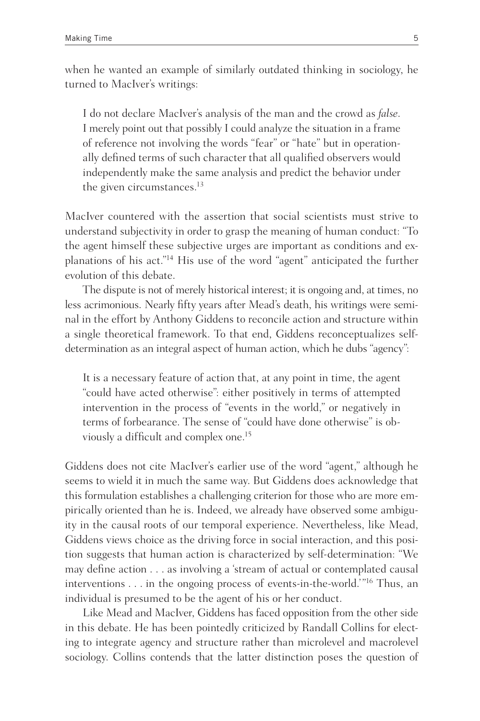when he wanted an example of similarly outdated thinking in sociology, he turned to MacIver's writings:

I do not declare MacIver's analysis of the man and the crowd as *false*. I merely point out that possibly I could analyze the situation in a frame of reference not involving the words "fear" or "hate" but in operationally defined terms of such character that all qualified observers would independently make the same analysis and predict the behavior under the given circumstances.<sup>13</sup>

MacIver countered with the assertion that social scientists must strive to understand subjectivity in order to grasp the meaning of human conduct: "To the agent himself these subjective urges are important as conditions and explanations of his act."14 His use of the word "agent" anticipated the further evolution of this debate.

The dispute is not of merely historical interest; it is ongoing and, at times, no less acrimonious. Nearly fifty years after Mead's death, his writings were seminal in the effort by Anthony Giddens to reconcile action and structure within a single theoretical framework. To that end, Giddens reconceptualizes selfdetermination as an integral aspect of human action, which he dubs "agency":

It is a necessary feature of action that, at any point in time, the agent "could have acted otherwise": either positively in terms of attempted intervention in the process of "events in the world," or negatively in terms of forbearance. The sense of "could have done otherwise" is obviously a difficult and complex one.<sup>15</sup>

Giddens does not cite MacIver's earlier use of the word "agent," although he seems to wield it in much the same way. But Giddens does acknowledge that this formulation establishes a challenging criterion for those who are more empirically oriented than he is. Indeed, we already have observed some ambiguity in the causal roots of our temporal experience. Nevertheless, like Mead, Giddens views choice as the driving force in social interaction, and this position suggests that human action is characterized by self- determination: "We may define action . . . as involving a 'stream of actual or contemplated causal interventions . . . in the ongoing process of events-in-the-world.'"<sup>16</sup> Thus, an individual is presumed to be the agent of his or her conduct.

Like Mead and MacIver, Giddens has faced opposition from the other side in this debate. He has been pointedly criticized by Randall Collins for electing to integrate agency and structure rather than microlevel and macrolevel sociology. Collins contends that the latter distinction poses the question of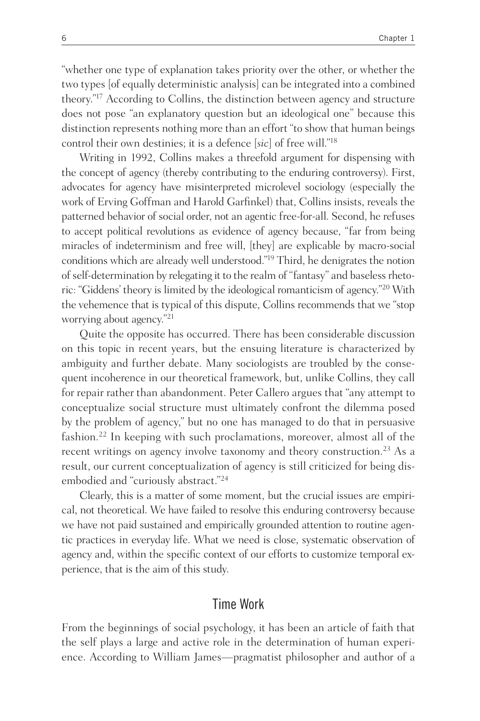"whether one type of explanation takes priority over the other, or whether the two types [of equally deterministic analysis] can be integrated into a combined theory."17 According to Collins, the distinction between agency and structure does not pose "an explanatory question but an ideological one" because this distinction represents nothing more than an effort "to show that human beings control their own destinies; it is a defence [*sic*] of free will."18

Writing in 1992, Collins makes a threefold argument for dispensing with the concept of agency (thereby contributing to the enduring controversy). First, advocates for agency have misinterpreted microlevel sociology (especially the work of Erving Goffman and Harold Garfinkel) that, Collins insists, reveals the patterned behavior of social order, not an agentic free- for- all. Second, he refuses to accept political revolutions as evidence of agency because, "far from being miracles of indeterminism and free will, [they] are explicable by macro-social conditions which are already well understood."19 Third, he denigrates the notion of self- determination by relegating it to the realm of "fantasy" and baseless rhetoric: "Giddens' theory is limited by the ideological romanticism of agency."20 With the vehemence that is typical of this dispute, Collins recommends that we "stop worrying about agency."21

Quite the opposite has occurred. There has been considerable discussion on this topic in recent years, but the ensuing literature is characterized by ambiguity and further debate. Many sociologists are troubled by the consequent incoherence in our theoretical framework, but, unlike Collins, they call for repair rather than abandonment. Peter Callero argues that "any attempt to conceptualize social structure must ultimately confront the dilemma posed by the problem of agency," but no one has managed to do that in persuasive fashion.22 In keeping with such proclamations, moreover, almost all of the recent writings on agency involve taxonomy and theory construction.<sup>23</sup> As a result, our current conceptualization of agency is still criticized for being disembodied and "curiously abstract."24

Clearly, this is a matter of some moment, but the crucial issues are empirical, not theoretical. We have failed to resolve this enduring controversy because we have not paid sustained and empirically grounded attention to routine agentic practices in everyday life. What we need is close, systematic observation of agency and, within the specific context of our efforts to customize temporal experience, that is the aim of this study.

## Time Work

From the beginnings of social psychology, it has been an article of faith that the self plays a large and active role in the determination of human experience. According to William James—pragmatist philosopher and author of a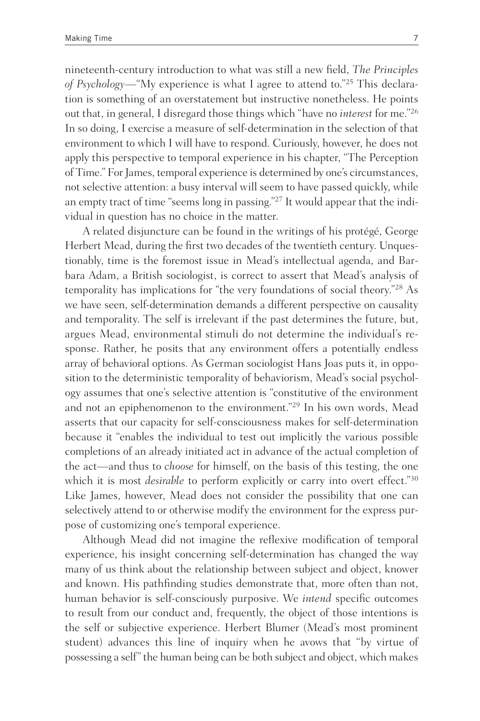nineteenth-century introduction to what was still a new field, *The Principles of Psychology*—"My experience is what I agree to attend to."25 This declaration is something of an overstatement but instructive nonetheless. He points out that, in general, I disregard those things which "have no *interest* for me."26 In so doing, I exercise a measure of self-determination in the selection of that environment to which I will have to respond. Curiously, however, he does not apply this perspective to temporal experience in his chapter, "The Perception of Time." For James, temporal experience is determined by one's circumstances, not selective attention: a busy interval will seem to have passed quickly, while an empty tract of time "seems long in passing."27 It would appear that the individual in question has no choice in the matter.

A related disjuncture can be found in the writings of his protégé, George Herbert Mead, during the first two decades of the twentieth century. Unquestionably, time is the foremost issue in Mead's intellectual agenda, and Barbara Adam, a British sociologist, is correct to assert that Mead's analysis of temporality has implications for "the very foundations of social theory."28 As we have seen, self-determination demands a different perspective on causality and temporality. The self is irrelevant if the past determines the future, but, argues Mead, environmental stimuli do not determine the individual's response. Rather, he posits that any environment offers a potentially endless array of behavioral options. As German sociologist Hans Joas puts it, in opposition to the deterministic temporality of behaviorism, Mead's social psychology assumes that one's selective attention is "constitutive of the environment and not an epiphenomenon to the environment."29 In his own words, Mead asserts that our capacity for self- consciousness makes for self- determination because it "enables the individual to test out implicitly the various possible completions of an already initiated act in advance of the actual completion of the act— and thus to *choose* for himself, on the basis of this testing, the one which it is most *desirable* to perform explicitly or carry into overt effect."30 Like James, however, Mead does not consider the possibility that one can selectively attend to or otherwise modify the environment for the express purpose of customizing one's temporal experience.

Although Mead did not imagine the reflexive modification of temporal experience, his insight concerning self- determination has changed the way many of us think about the relationship between subject and object, knower and known. His pathfinding studies demonstrate that, more often than not, human behavior is self-consciously purposive. We *intend* specific outcomes to result from our conduct and, frequently, the object of those intentions is the self or subjective experience. Herbert Blumer (Mead's most prominent student) advances this line of inquiry when he avows that "by virtue of possessing a self" the human being can be both subject and object, which makes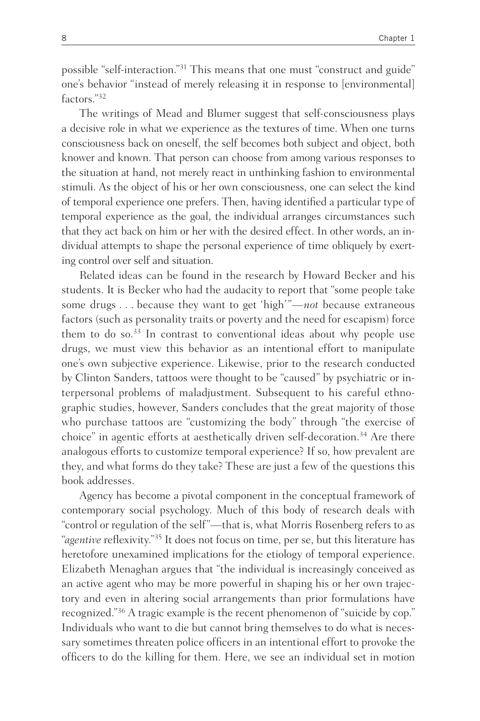possible "self-interaction."<sup>31</sup> This means that one must "construct and guide" one's behavior "instead of merely releasing it in response to [environmental] factors."32

The writings of Mead and Blumer suggest that self- consciousness plays a decisive role in what we experience as the textures of time. When one turns consciousness back on oneself, the self becomes both subject and object, both knower and known. That person can choose from among various responses to the situation at hand, not merely react in unthinking fashion to environmental stimuli. As the object of his or her own consciousness, one can select the kind of temporal experience one prefers. Then, having identified a particular type of temporal experience as the goal, the individual arranges circumstances such that they act back on him or her with the desired effect. In other words, an individual attempts to shape the personal experience of time obliquely by exerting control over self and situation.

Related ideas can be found in the research by Howard Becker and his students. It is Becker who had the audacity to report that "some people take some drugs . . . because they want to get 'high' "—*not* because extraneous factors (such as personality traits or poverty and the need for escapism) force them to do so. $33$  In contrast to conventional ideas about why people use drugs, we must view this behavior as an intentional effort to manipulate one's own subjective experience. Likewise, prior to the research conducted by Clinton Sanders, tattoos were thought to be "caused" by psychiatric or interpersonal problems of maladjustment. Subsequent to his careful ethnographic studies, however, Sanders concludes that the great majority of those who purchase tattoos are "customizing the body" through "the exercise of choice" in agentic efforts at aesthetically driven self-decoration.<sup>34</sup> Are there analogous efforts to customize temporal experience? If so, how prevalent are they, and what forms do they take? These are just a few of the questions this book addresses.

Agency has become a pivotal component in the conceptual framework of contemporary social psychology. Much of this body of research deals with "control or regulation of the self"— that is, what Morris Rosenberg refers to as "*agentive* reflexivity."<sup>35</sup> It does not focus on time, per se, but this literature has heretofore unexamined implications for the etiology of temporal experience. Elizabeth Menaghan argues that "the individual is increasingly conceived as an active agent who may be more powerful in shaping his or her own trajectory and even in altering social arrangements than prior formulations have recognized."36 A tragic example is the recent phenomenon of "suicide by cop." Individuals who want to die but cannot bring themselves to do what is necessary sometimes threaten police officers in an intentional effort to provoke the officers to do the killing for them. Here, we see an individual set in motion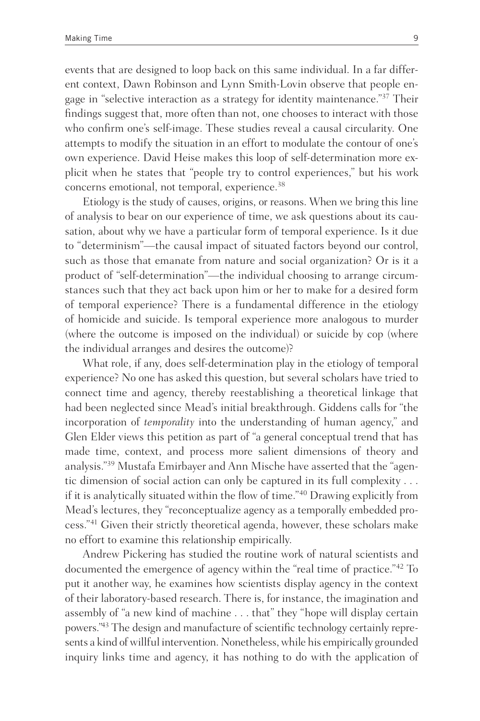events that are designed to loop back on this same individual. In a far different context, Dawn Robinson and Lynn Smith- Lovin observe that people engage in "selective interaction as a strategy for identity maintenance."<sup>37</sup> Their findings suggest that, more often than not, one chooses to interact with those who confirm one's self-image. These studies reveal a causal circularity. One attempts to modify the situation in an effort to modulate the contour of one's own experience. David Heise makes this loop of self- determination more explicit when he states that "people try to control experiences," but his work concerns emotional, not temporal, experience.38

Etiology is the study of causes, origins, or reasons. When we bring this line of analysis to bear on our experience of time, we ask questions about its causation, about why we have a particular form of temporal experience. Is it due to "determinism"— the causal impact of situated factors beyond our control, such as those that emanate from nature and social organization? Or is it a product of "self- determination"—the individual choosing to arrange circumstances such that they act back upon him or her to make for a desired form of temporal experience? There is a fundamental difference in the etiology of homicide and suicide. Is temporal experience more analogous to murder (where the outcome is imposed on the individual) or suicide by cop (where the individual arranges and desires the outcome)?

What role, if any, does self- determination play in the etiology of temporal experience? No one has asked this question, but several scholars have tried to connect time and agency, thereby reestablishing a theoretical linkage that had been neglected since Mead's initial breakthrough. Giddens calls for "the incorporation of *temporality* into the understanding of human agency," and Glen Elder views this petition as part of "a general conceptual trend that has made time, context, and process more salient dimensions of theory and analysis."39 Mustafa Emirbayer and Ann Mische have asserted that the "agentic dimension of social action can only be captured in its full complexity . . . if it is analytically situated within the flow of time."<sup>40</sup> Drawing explicitly from Mead's lectures, they "reconceptualize agency as a temporally embedded process." 41 Given their strictly theoretical agenda, however, these scholars make no effort to examine this relationship empirically.

Andrew Pickering has studied the routine work of natural scientists and documented the emergence of agency within the "real time of practice." 42 To put it another way, he examines how scientists display agency in the context of their laboratory- based research. There is, for instance, the imagination and assembly of "a new kind of machine . . . that" they "hope will display certain powers."<sup>43</sup> The design and manufacture of scientific technology certainly represents a kind of willful intervention. Nonetheless, while his empirically grounded inquiry links time and agency, it has nothing to do with the application of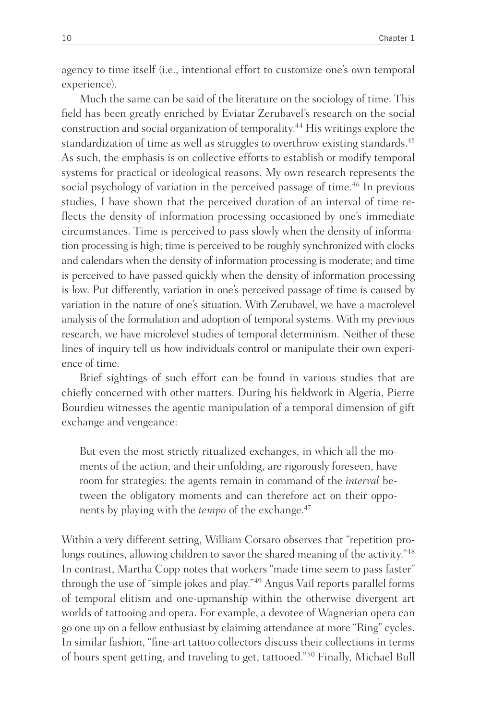agency to time itself (i.e., intentional effort to customize one's own temporal experience).

Much the same can be said of the literature on the sociology of time. This field has been greatly enriched by Eviatar Zerubavel's research on the social construction and social organization of temporality.<sup>44</sup> His writings explore the standardization of time as well as struggles to overthrow existing standards.<sup>45</sup> As such, the emphasis is on collective efforts to establish or modify temporal systems for practical or ideological reasons. My own research represents the social psychology of variation in the perceived passage of time.<sup>46</sup> In previous studies, I have shown that the perceived duration of an interval of time reflects the density of information processing occasioned by one's immediate circumstances. Time is perceived to pass slowly when the density of information processing is high; time is perceived to be roughly synchronized with clocks and calendars when the density of information processing is moderate; and time is perceived to have passed quickly when the density of information processing is low. Put differently, variation in one's perceived passage of time is caused by variation in the nature of one's situation. With Zerubavel, we have a macrolevel analysis of the formulation and adoption of temporal systems. With my previous research, we have microlevel studies of temporal determinism. Neither of these lines of inquiry tell us how individuals control or manipulate their own experience of time.

Brief sightings of such effort can be found in various studies that are chiefly concerned with other matters. During his fieldwork in Algeria, Pierre Bourdieu witnesses the agentic manipulation of a temporal dimension of gift exchange and vengeance:

But even the most strictly ritualized exchanges, in which all the moments of the action, and their unfolding, are rigorously foreseen, have room for strategies: the agents remain in command of the *interval* between the obligatory moments and can therefore act on their opponents by playing with the *tempo* of the exchange.<sup>47</sup>

Within a very different setting, William Corsaro observes that "repetition prolongs routines, allowing children to savor the shared meaning of the activity."<sup>48</sup> In contrast, Martha Copp notes that workers "made time seem to pass faster" through the use of "simple jokes and play."<sup>49</sup> Angus Vail reports parallel forms of temporal elitism and one- upmanship within the otherwise divergent art worlds of tattooing and opera. For example, a devotee of Wagnerian opera can go one up on a fellow enthusiast by claiming attendance at more "Ring" cycles. In similar fashion, "fine-art tattoo collectors discuss their collections in terms of hours spent getting, and traveling to get, tattooed." 50 Finally, Michael Bull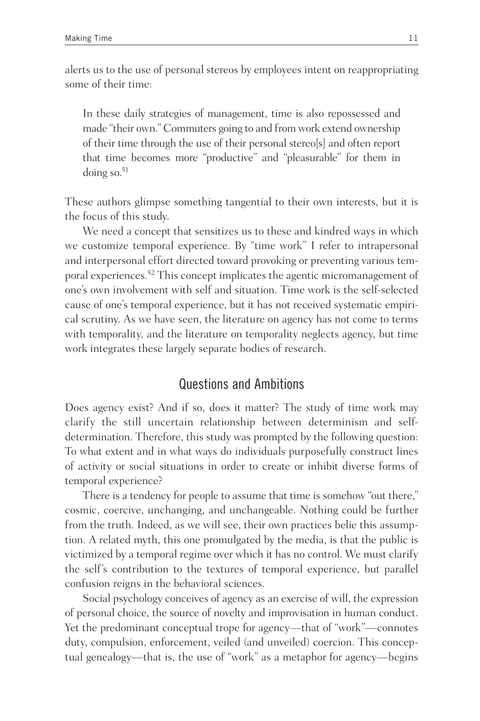alerts us to the use of personal stereos by employees intent on reappropriating some of their time:

In these daily strategies of management, time is also repossessed and made "their own." Commuters going to and from work extend ownership of their time through the use of their personal stereo[s] and often report that time becomes more "productive" and "pleasurable" for them in doing so. $51$ 

These authors glimpse something tangential to their own interests, but it is the focus of this study.

We need a concept that sensitizes us to these and kindred ways in which we customize temporal experience. By "time work" I refer to intrapersonal and interpersonal effort directed toward provoking or preventing various temporal experiences.52 This concept implicates the agentic micromanagement of one's own involvement with self and situation. Time work is the self- selected cause of one's temporal experience, but it has not received systematic empirical scrutiny. As we have seen, the literature on agency has not come to terms with temporality, and the literature on temporality neglects agency, but time work integrates these largely separate bodies of research.

## Questions and Ambitions

Does agency exist? And if so, does it matter? The study of time work may clarify the still uncertain relationship between determinism and selfdetermination. Therefore, this study was prompted by the following question: To what extent and in what ways do individuals purposefully construct lines of activity or social situations in order to create or inhibit diverse forms of temporal experience?

There is a tendency for people to assume that time is somehow "out there," cosmic, coercive, unchanging, and unchangeable. Nothing could be further from the truth. Indeed, as we will see, their own practices belie this assumption. A related myth, this one promulgated by the media, is that the public is victimized by a temporal regime over which it has no control. We must clarify the self's contribution to the textures of temporal experience, but parallel confusion reigns in the behavioral sciences.

Social psychology conceives of agency as an exercise of will, the expression of personal choice, the source of novelty and improvisation in human conduct. Yet the predominant conceptual trope for agency— that of "work"— connotes duty, compulsion, enforcement, veiled (and unveiled) coercion. This conceptual genealogy—that is, the use of "work" as a metaphor for agency—begins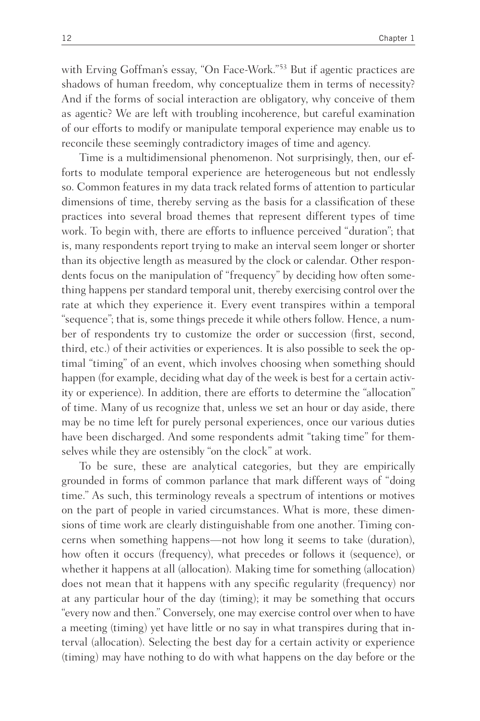with Erving Goffman's essay, "On Face-Work."<sup>53</sup> But if agentic practices are shadows of human freedom, why conceptualize them in terms of necessity? And if the forms of social interaction are obligatory, why conceive of them as agentic? We are left with troubling incoherence, but careful examination of our efforts to modify or manipulate temporal experience may enable us to reconcile these seemingly contradictory images of time and agency.

Time is a multidimensional phenomenon. Not surprisingly, then, our efforts to modulate temporal experience are heterogeneous but not endlessly so. Common features in my data track related forms of attention to particular dimensions of time, thereby serving as the basis for a classification of these practices into several broad themes that represent different types of time work. To begin with, there are efforts to influence perceived "duration"; that is, many respondents report trying to make an interval seem longer or shorter than its objective length as mea sured by the clock or calendar. Other respondents focus on the manipulation of "frequency" by deciding how often something happens per standard temporal unit, thereby exercising control over the rate at which they experience it. Every event transpires within a temporal "sequence"; that is, some things precede it while others follow. Hence, a number of respondents try to customize the order or succession (first, second, third, etc.) of their activities or experiences. It is also possible to seek the optimal "timing" of an event, which involves choosing when something should happen (for example, deciding what day of the week is best for a certain activity or experience). In addition, there are efforts to determine the "allocation" of time. Many of us recognize that, unless we set an hour or day aside, there may be no time left for purely personal experiences, once our various duties have been discharged. And some respondents admit "taking time" for themselves while they are ostensibly "on the clock" at work.

To be sure, these are analytical categories, but they are empirically grounded in forms of common parlance that mark different ways of "doing time." As such, this terminology reveals a spectrum of intentions or motives on the part of people in varied circumstances. What is more, these dimensions of time work are clearly distinguishable from one another. Timing concerns when something happens— not how long it seems to take (duration), how often it occurs (frequency), what precedes or follows it (sequence), or whether it happens at all (allocation). Making time for something (allocation) does not mean that it happens with any specific regularity (frequency) nor at any particular hour of the day (timing); it may be something that occurs "every now and then." Conversely, one may exercise control over when to have a meeting (timing) yet have little or no say in what transpires during that interval (allocation). Selecting the best day for a certain activity or experience (timing) may have nothing to do with what happens on the day before or the